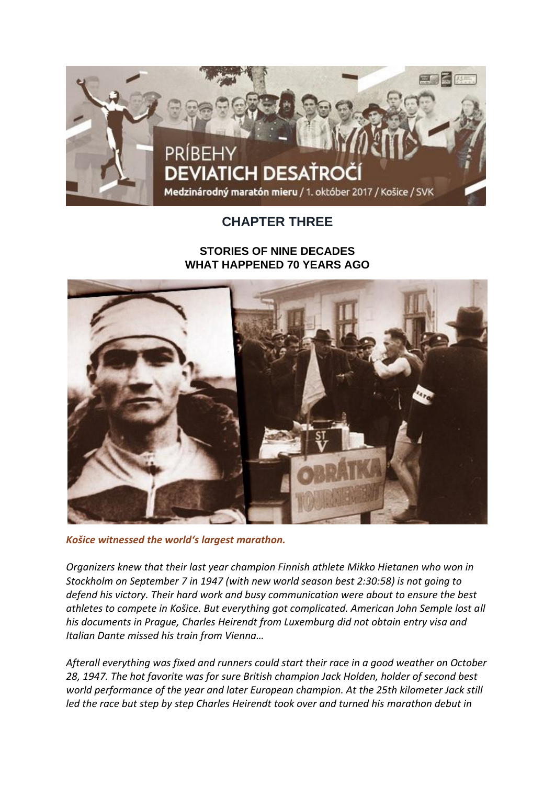

## **CHAPTER THREE**

## **STORIES OF NINE DECADES WHAT HAPPENED 70 YEARS AGO**



*Košice witnessed the world's largest marathon.*

*Organizers knew that their last year champion Finnish athlete Mikko Hietanen who won in Stockholm on September 7 in 1947 (with new world season best 2:30:58) is not going to defend his victory. Their hard work and busy communication were about to ensure the best athletes to compete in Košice. But everything got complicated. American John Semple lost all his documents in Prague, Charles Heirendt from Luxemburg did not obtain entry visa and Italian Dante missed his train from Vienna…*

*Afterall everything was fixed and runners could start their race in a good weather on October 28, 1947. The hot favorite was for sure British champion Jack Holden, holder of second best world performance of the year and later European champion. At the 25th kilometer Jack still led the race but step by step Charles Heirendt took over and turned his marathon debut in*